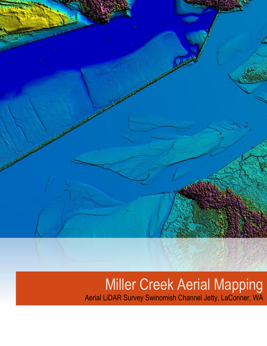

# Miller Creek Aerial Mapping Aerial LiDAR Survey Swinomish Channel Jetty, LaConner, WA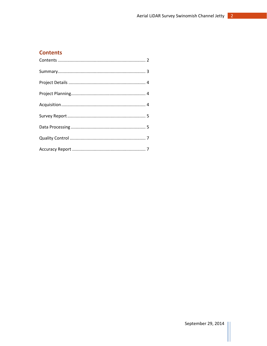# <span id="page-2-0"></span>**Contents**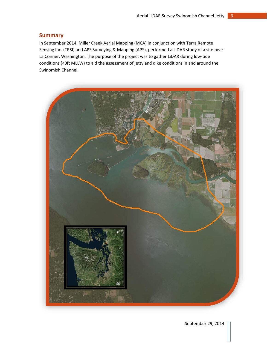## <span id="page-3-0"></span>**Summary**

In September 2014, Miller Creek Aerial Mapping (MCA) in conjunction with Terra Remote Sensing Inc. (TRSI) and APS Surveying & Mapping (APS), performed a LiDAR study of a site near La Conner, Washington. The purpose of the project was to gather LiDAR during low-tide conditions (<0ft MLLW) to aid the assessment of jetty and dike conditions in and around the Swinomish Channel.

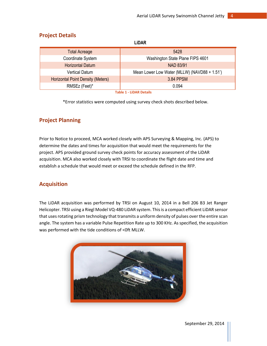| LIVAIV                                   |                                              |  |  |  |  |
|------------------------------------------|----------------------------------------------|--|--|--|--|
| <b>Total Acreage</b>                     | 5428                                         |  |  |  |  |
| Coordinate System                        | Washington State Plane FIPS 4601             |  |  |  |  |
| <b>Horizontal Datum</b>                  | <b>NAD 83/91</b>                             |  |  |  |  |
| <b>Vertical Datum</b>                    | Mean Lower Low Water (MLLW) (NAVD88 + 1.51') |  |  |  |  |
| <b>Horizontal Point Density (Meters)</b> | 3.84 PPSM                                    |  |  |  |  |
| RMSEz (Feet)*                            | 0.094                                        |  |  |  |  |
| <b>Table 1 - LiDAR Details</b>           |                                              |  |  |  |  |

## <span id="page-4-0"></span>**Project Details**

**LiDAR**

\*Error statistics were computed using survey check shots described below.

## <span id="page-4-1"></span>**Project Planning**

Prior to Notice to proceed, MCA worked closely with APS Surveying & Mapping, Inc. (APS) to determine the dates and times for acquisition that would meet the requirements for the project. APS provided ground survey check points for accuracy assessment of the LiDAR acquisition. MCA also worked closely with TRSI to coordinate the flight date and time and establish a schedule that would meet or exceed the schedule defined in the RFP.

## <span id="page-4-2"></span>**Acquisition**

The LiDAR acquisition was performed by TRSI on August 10, 2014 in a Bell 206 B3 Jet Ranger Helicopter. TRSI using a Riegl Model VQ-480 LiDAR system. This is a compact efficient LiDAR sensor that uses rotating prism technology that transmits a uniform density of pulses over the entire scan angle. The system has a variable Pulse Repetition Rate up to 300 KHz. As specified, the acquisition was performed with the tide conditions of <0ft MLLW.

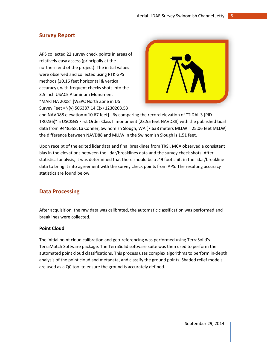## <span id="page-5-0"></span>**Survey Report**

APS collected 22 survey check points in areas of relatively easy access (principally at the northern end of the project). The initial values were observed and collected using RTK GPS methods (±0.16 feet horizontal & vertical accuracy), with frequent checks shots into the 3.5 inch USACE Aluminum Monument "MARTHA 2008" [WSPC North Zone in US Survey Feet =N(y) 506387.14 E(x) 1230203.53



and NAVD88 elevation = 10.67 feet]. By comparing the record elevation of "TIDAL 3 (PID TR0236)" a USC&GS First Order Class II monument [23.55 feet NAVD88] with the published tidal data from 9448558, La Conner, Swinomish Slough, WA [7.638 meters MLLW = 25.06 feet MLLW] the difference between NAVD88 and MLLW in the Swinomish Slough is 1.51 feet.

Upon receipt of the edited lidar data and final breaklines from TRSI, MCA observed a consistent bias in the elevations between the lidar/breaklines data and the survey check shots. After statistical analysis, it was determined that there should be a .49 foot shift in the lidar/breakline data to bring it into agreement with the survey check points from APS. The resulting accuracy statistics are found below.

## <span id="page-5-1"></span>**Data Processing**

After acquisition, the raw data was calibrated, the automatic classification was performed and breaklines were collected.

### **Point Cloud**

The initial point cloud calibration and geo-referencing was performed using TerraSolid's TerraMatch Software package. The TerraSolid software suite was then used to perform the automated point cloud classifications. This process uses complex algorithms to perform in-depth analysis of the point cloud and metadata, and classify the ground points. Shaded relief models are used as a QC tool to ensure the ground is accurately defined.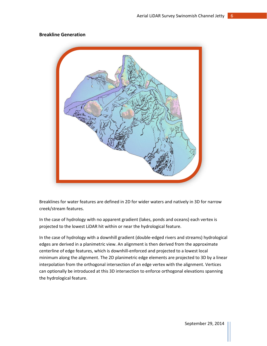#### **Breakline Generation**



Breaklines for water features are defined in 2D for wider waters and natively in 3D for narrow creek/stream features.

In the case of hydrology with no apparent gradient (lakes, ponds and oceans) each vertex is projected to the lowest LiDAR hit within or near the hydrological feature.

In the case of hydrology with a downhill gradient (double-edged rivers and streams) hydrological edges are derived in a planimetric view. An alignment is then derived from the approximate centerline of edge features, which is downhill-enforced and projected to a lowest local minimum along the alignment. The 2D planimetric edge elements are projected to 3D by a linear interpolation from the orthogonal intersection of an edge vertex with the alignment. Vertices can optionally be introduced at this 3D intersection to enforce orthogonal elevations spanning the hydrological feature.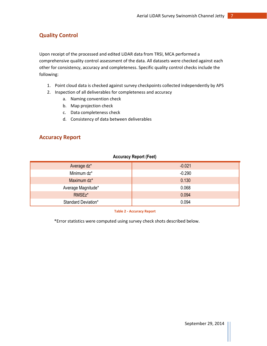# <span id="page-7-0"></span>**Quality Control**

Upon receipt of the processed and edited LiDAR data from TRSI, MCA performed a comprehensive quality control assessment of the data. All datasets were checked against each other for consistency, accuracy and completeness. Specific quality control checks include the following:

- 1. Point cloud data is checked against survey checkpoints collected independently by APS
- 2. Inspection of all deliverables for completeness and accuracy
	- a. Naming convention check
	- b. Map projection check
	- c. Data completeness check
	- d. Consistency of data between deliverables

## <span id="page-7-1"></span>**Accuracy Report**

#### **Accuracy Report (Feet)**

| Average dz*         | $-0.021$ |
|---------------------|----------|
| Minimum dz*         | $-0.290$ |
| Maximum dz*         | 0.130    |
| Average Magnitude*  | 0.068    |
| RMSEz*              | 0.094    |
| Standard Deviation* | 0.094    |

**Table 2 - Accuracy Report**

\*Error statistics were computed using survey check shots described below.